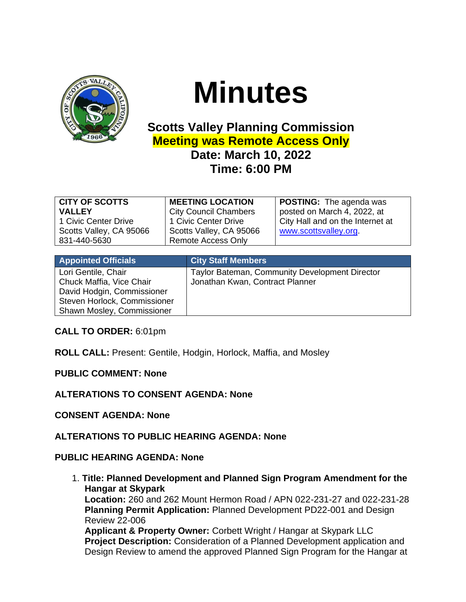

## **Minutes**

## **Scotts Valley Planning Commission Meeting was Remote Access Only Date: March 10, 2022 Time: 6:00 PM**

| <b>CITY OF SCOTTS</b><br><b>VALLEY</b><br>1 Civic Center Drive<br>Scotts Valley, CA 95066<br>831-440-5630 | <b>MEETING LOCATION</b><br><b>City Council Chambers</b><br>1 Civic Center Drive<br>Scotts Valley, CA 95066<br><b>Remote Access Only</b> | <b>POSTING:</b> The agenda was<br>posted on March 4, 2022, at<br>City Hall and on the Internet at<br>www.scottsvalley.org. |
|-----------------------------------------------------------------------------------------------------------|-----------------------------------------------------------------------------------------------------------------------------------------|----------------------------------------------------------------------------------------------------------------------------|
|                                                                                                           |                                                                                                                                         |                                                                                                                            |

| <b>Appointed Officials</b>                                                                                                                  | <b>City Staff Members</b>                                                         |
|---------------------------------------------------------------------------------------------------------------------------------------------|-----------------------------------------------------------------------------------|
| Lori Gentile, Chair<br>Chuck Maffia, Vice Chair<br>David Hodgin, Commissioner<br>Steven Horlock, Commissioner<br>Shawn Mosley, Commissioner | Taylor Bateman, Community Development Director<br>Jonathan Kwan, Contract Planner |

**CALL TO ORDER:** 6:01pm

**ROLL CALL:** Present: Gentile, Hodgin, Horlock, Maffia, and Mosley

**PUBLIC COMMENT: None**

**ALTERATIONS TO CONSENT AGENDA: None**

**CONSENT AGENDA: None**

**ALTERATIONS TO PUBLIC HEARING AGENDA: None**

## **PUBLIC HEARING AGENDA: None**

1. **Title: Planned Development and Planned Sign Program Amendment for the Hangar at Skypark Location:** 260 and 262 Mount Hermon Road / APN 022-231-27 and 022-231-28 **Planning Permit Application:** Planned Development PD22-001 and Design Review 22-006 **Applicant & Property Owner:** Corbett Wright / Hangar at Skypark LLC **Project Description:** Consideration of a Planned Development application and Design Review to amend the approved Planned Sign Program for the Hangar at